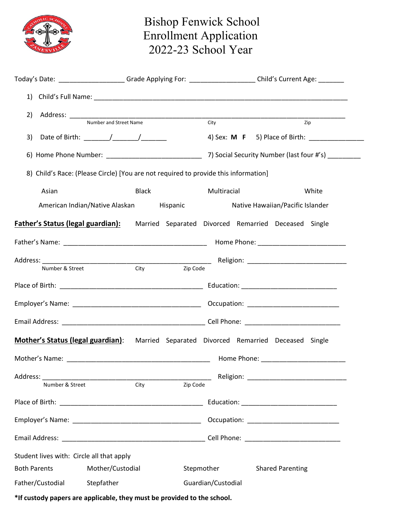

## Bishop Fenwick School Enrollment Application 2022-23 School Year

|                                                                                     | Today's Date: ____________________Grade Applying For: ___________________Child's Current Age: ______ |          |             |                         |                                                      |  |  |  |  |
|-------------------------------------------------------------------------------------|------------------------------------------------------------------------------------------------------|----------|-------------|-------------------------|------------------------------------------------------|--|--|--|--|
|                                                                                     |                                                                                                      |          |             |                         |                                                      |  |  |  |  |
| 2)                                                                                  |                                                                                                      |          |             |                         |                                                      |  |  |  |  |
|                                                                                     |                                                                                                      |          |             |                         | Zip                                                  |  |  |  |  |
| 3)                                                                                  |                                                                                                      |          |             |                         | 4) Sex: M F 5) Place of Birth: ______________        |  |  |  |  |
|                                                                                     |                                                                                                      |          |             |                         |                                                      |  |  |  |  |
| 8) Child's Race: (Please Circle) [You are not required to provide this information] |                                                                                                      |          |             |                         |                                                      |  |  |  |  |
| Asian                                                                               | <b>Black</b>                                                                                         |          | Multiracial |                         | White                                                |  |  |  |  |
|                                                                                     | American Indian/Native Alaskan Hispanic<br>Native Hawaiian/Pacific Islander                          |          |             |                         |                                                      |  |  |  |  |
| <b>Father's Status (legal guardian):</b>                                            |                                                                                                      |          |             |                         | Married Separated Divorced Remarried Deceased Single |  |  |  |  |
|                                                                                     |                                                                                                      |          |             |                         |                                                      |  |  |  |  |
|                                                                                     |                                                                                                      |          |             |                         |                                                      |  |  |  |  |
| Number & Street                                                                     | City                                                                                                 | Zip Code |             |                         |                                                      |  |  |  |  |
|                                                                                     |                                                                                                      |          |             |                         |                                                      |  |  |  |  |
|                                                                                     |                                                                                                      |          |             |                         |                                                      |  |  |  |  |
|                                                                                     |                                                                                                      |          |             |                         |                                                      |  |  |  |  |
|                                                                                     | Mother's Status (legal guardian): Married Separated Divorced Remarried Deceased Single               |          |             |                         |                                                      |  |  |  |  |
|                                                                                     |                                                                                                      |          |             |                         |                                                      |  |  |  |  |
| Address: ____________                                                               |                                                                                                      |          |             |                         | __________ Religion: _______________________________ |  |  |  |  |
| Number & Street                                                                     | City                                                                                                 | Zip Code |             |                         |                                                      |  |  |  |  |
|                                                                                     |                                                                                                      |          |             |                         |                                                      |  |  |  |  |
|                                                                                     |                                                                                                      |          |             |                         |                                                      |  |  |  |  |
|                                                                                     |                                                                                                      |          |             |                         |                                                      |  |  |  |  |
| Student lives with: Circle all that apply                                           |                                                                                                      |          |             |                         |                                                      |  |  |  |  |
| <b>Both Parents</b>                                                                 | Mother/Custodial                                                                                     |          | Stepmother  | <b>Shared Parenting</b> |                                                      |  |  |  |  |
| Father/Custodial                                                                    | Stepfather<br>Guardian/Custodial                                                                     |          |             |                         |                                                      |  |  |  |  |

**\*If custody papers are applicable, they must be provided to the school.**